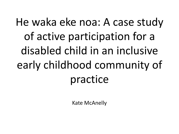### He waka eke noa: A case study of active participation for a disabled child in an inclusive early childhood community of practice

Kate McAnelly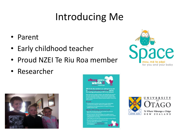#### Introducing Me

- Parent
- Early childhood teacher
- Proud NZEI Te Riu Roa member
- Researcher





**N2El Te Riu Roa members are calling for an end** In the general funding feature in ECE, and forthe funding and quality in ECE to be restared

Manager?

**Vhy fort CCE funding mod to be floor?** 





**NIVERSITY** 

NEW ZEALAND

**SAFEKE AUDE**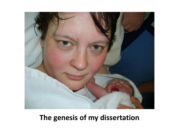

#### **The genesis of my dissertation**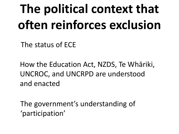## **The political context that often reinforces exclusion**

The status of ECE

How the Education Act, NZDS, Te Whāriki, UNCROC, and UNCRPD are understood and enacted

The government's understanding of 'participation'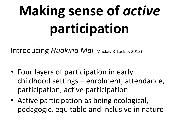# **Making sense of** *active* **participation**

Introducing *Huakina Mai* (Mackey & Lockie, 2012)

- Four layers of participation in early childhood settings – enrolment, attendance, participation, active participation
- Active participation as being ecological, pedagogic, equitable and inclusive in nature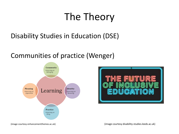#### The Theory

#### Disability Studies in Education (DSE)

#### Communities of practice (Wenger)





(image courtesy enhancementthemes.ac.uk) (image courtesy disability-studies.leeds.ac.uk)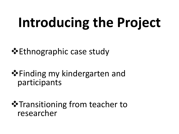# **Introducing the Project**

**Ethnographic case study** 

**\*** Finding my kindergarten and participants

**\***Transitioning from teacher to researcher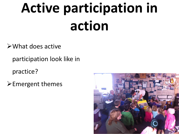# **Active participation in action**

What does active

participation look like in

practice?

 $\blacktriangleright$  Emergent themes

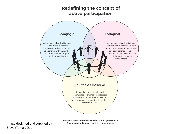#### **Redefining the concept of** active participation



Image designed and supplied by Steve (Tama's Dad)

because inclusive education for all is upheld as a fundamental human right in these spaces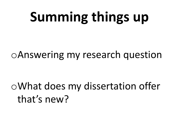## **Summing things up**

oAnswering my research question

oWhat does my dissertation offer that's new?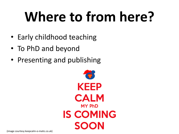# **Where to from here?**

- Early childhood teaching
- To PhD and beyond
- Presenting and publishing

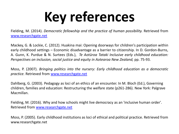# **Key references**

Fielding, M. (2014). *Democratic fellowship and the practice of human possibility.* Retrieved from [www.researchgate.net](http://www.researchgate.net/)

Mackey, G. & Lockie, C. (2012). Huakina mai: Opening doorways for children's participation within early childhood settings – Economic disadvantage as a barrier to citizenship. In D. Gordon-Burns, A. Gunn, K. Purdue & N. Surtees (Eds.), *Te Aotūroa Tataki Inclusive early childhood education: Perspectives on inclusion, social justice and equity in Aotearoa New Zealand,* pp. 75-93.

Moss, P. (2007). *Bringing politics into the nursery: Early childhood education as a democratic practice.* Retrieved from [www.researchgate.net](http://www.researchgate.net/)

Dahlberg, G. (2003). Pedagogy as loci of an ethics of an encounter. In M. Bloch (Ed.), Governing children, families and education: Restructuring the welfare state (p261-286). New York: Palgrave Macmillan.

Fielding, M. (2016). Why and how schools might live democracy as an 'inclusive human order'. Retrieved from [www.researchgate.net](http://www.researchgate.net/)

Moss, P. (2005). Early childhood institutions as loci of ethical and political practice. Retrieved from www.researchgate.net